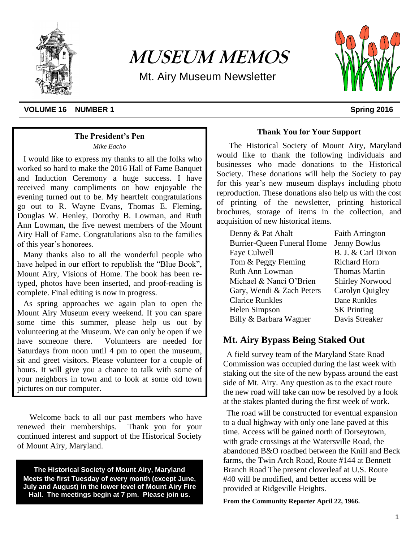

# **MUSEUM MEMOS**

Mt. Airy Museum Newsletter



#### **VOLUME 16 NUMBER 1** Spring 2016

#### **The President's Pen**

*Mike Eacho*

I would like to express my thanks to all the folks who worked so hard to make the 2016 Hall of Fame Banquet and Induction Ceremony a huge success. I have received many compliments on how enjoyable the evening turned out to be. My heartfelt congratulations go out to R. Wayne Evans, Thomas E. Fleming, Douglas W. Henley, Dorothy B. Lowman, and Ruth Ann Lowman, the five newest members of the Mount Airy Hall of Fame. Congratulations also to the families of this year's honorees.

Many thanks also to all the wonderful people who have helped in our effort to republish the "Blue Book", Mount Airy, Visions of Home. The book has been retyped, photos have been inserted, and proof-reading is complete. Final editing is now in progress.

As spring approaches we again plan to open the Mount Airy Museum every weekend. If you can spare some time this summer, please help us out by volunteering at the Museum. We can only be open if we have someone there. Volunteers are needed for Saturdays from noon until 4 pm to open the museum, sit and greet visitors. Please volunteer for a couple of hours. It will give you a chance to talk with some of your neighbors in town and to look at some old town pictures on our computer.

Welcome back to all our past members who have renewed their memberships. Thank you for your continued interest and support of the Historical Society of Mount Airy, Maryland.

**The Historical Society of Mount Airy, Maryland Meets the first Tuesday of every month (except June, July and August) in the lower level of Mount Airy Fire Hall. The meetings begin at 7 pm. Please join us.**

#### **Thank You for Your Support**

The Historical Society of Mount Airy, Maryland would like to thank the following individuals and businesses who made donations to the Historical Society. These donations will help the Society to pay for this year's new museum displays including photo reproduction. These donations also help us with the cost of printing of the newsletter, printing historical brochures, storage of items in the collection, and acquisition of new historical items.

| Denny & Pat Ahalt                 | <b>Faith Arrington</b> |
|-----------------------------------|------------------------|
| <b>Burrier-Queen Funeral Home</b> | <b>Jenny Bowlus</b>    |
| Faye Culwell                      | B. J. & Carl Dixon     |
| Tom & Peggy Fleming               | <b>Richard Horn</b>    |
| <b>Ruth Ann Lowman</b>            | <b>Thomas Martin</b>   |
| Michael & Nanci O'Brien           | <b>Shirley Norwood</b> |
| Gary, Wendi & Zach Peters         | Carolyn Quigley        |
| <b>Clarice Runkles</b>            | Dane Runkles           |
| Helen Simpson                     | <b>SK</b> Printing     |
| Billy & Barbara Wagner            | Davis Streaker         |

# **Mt. Airy Bypass Being Staked Out**

A field survey team of the Maryland State Road Commission was occupied during the last week with staking out the site of the new bypass around the east side of Mt. Airy. Any question as to the exact route the new road will take can now be resolved by a look at the stakes planted during the first week of work.

The road will be constructed for eventual expansion to a dual highway with only one lane paved at this time. Access will be gained north of Dorseytown, with grade crossings at the Watersville Road, the abandoned B&O roadbed between the Knill and Beck farms, the Twin Arch Road, Route #144 at Bennett Branch Road The present cloverleaf at U.S. Route #40 will be modified, and better access will be provided at Ridgeville Heights.

**From the Community Reporter April 22, 1966.**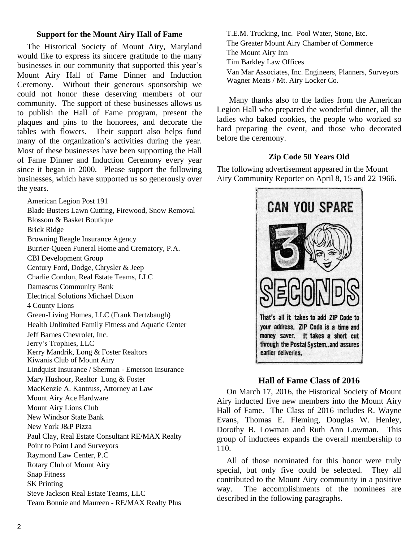### **Support for the Mount Airy Hall of Fame**

The Historical Society of Mount Airy, Maryland would like to express its sincere gratitude to the many businesses in our community that supported this year's Mount Airy Hall of Fame Dinner and Induction Ceremony. Without their generous sponsorship we could not honor these deserving members of our community. The support of these businesses allows us to publish the Hall of Fame program, present the plaques and pins to the honorees, and decorate the tables with flowers. Their support also helps fund many of the organization's activities during the year. Most of these businesses have been supporting the Hall of Fame Dinner and Induction Ceremony every year since it began in 2000. Please support the following businesses, which have supported us so generously over the years.

American Legion Post 191 Blade Busters Lawn Cutting, Firewood, Snow Removal Blossom & Basket Boutique Brick Ridge Browning Reagle Insurance Agency Burrier-Queen Funeral Home and Crematory, P.A. CBI Development Group Century Ford, Dodge, Chrysler & Jeep Charlie Condon, Real Estate Teams, LLC Damascus Community Bank Electrical Solutions Michael Dixon 4 County Lions Green-Living Homes, LLC (Frank Dertzbaugh) Health Unlimited Family Fitness and Aquatic Center Jeff Barnes Chevrolet, Inc. Jerry's Trophies, LLC Kerry Mandrik, Long & Foster Realtors Kiwanis Club of Mount Airy Lindquist Insurance / Sherman - Emerson Insurance Mary Hushour, Realtor Long & Foster MacKenzie A. Kantruss, Attorney at Law Mount Airy Ace Hardware Mount Airy Lions Club New Windsor State Bank New York J&P Pizza Paul Clay, Real Estate Consultant RE/MAX Realty Point to Point Land Surveyors Raymond Law Center, P.C Rotary Club of Mount Airy Snap Fitness SK Printing Steve Jackson Real Estate Teams, LLC Team Bonnie and Maureen - RE/MAX Realty Plus

T.E.M. Trucking, Inc. Pool Water, Stone, Etc. The Greater Mount Airy Chamber of Commerce The Mount Airy Inn Tim Barkley Law Offices Van Mar Associates, Inc. Engineers, Planners, Surveyors Wagner Meats / Mt. Airy Locker Co.

Many thanks also to the ladies from the American Legion Hall who prepared the wonderful dinner, all the ladies who baked cookies, the people who worked so hard preparing the event, and those who decorated before the ceremony.

# **Zip Code 50 Years Old**

The following advertisement appeared in the Mount Airy Community Reporter on April 8, 15 and 22 1966.



# **Hall of Fame Class of 2016**

On March 17, 2016, the Historical Society of Mount Airy inducted five new members into the Mount Airy Hall of Fame. The Class of 2016 includes R. Wayne Evans, Thomas E. Fleming, Douglas W. Henley, Dorothy B. Lowman and Ruth Ann Lowman. This group of inductees expands the overall membership to 110.

All of those nominated for this honor were truly special, but only five could be selected. They all contributed to the Mount Airy community in a positive way. The accomplishments of the nominees are described in the following paragraphs.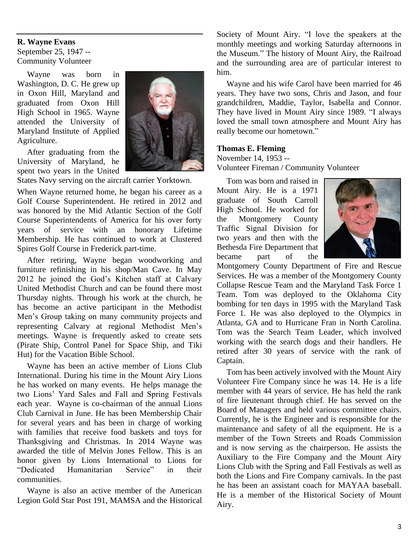# **R. Wayne Evans**

September 25, 1947 -- Community Volunteer

Wayne was born in Washington, D. C. He grew up in Oxon Hill, Maryland and graduated from Oxon Hill High School in 1965. Wayne attended the University of Maryland Institute of Applied Agriculture.

After graduating from the University of Maryland, he spent two years in the United



States Navy serving on the aircraft carrier Yorktown.

When Wayne returned home, he began his career as a Golf Course Superintendent. He retired in 2012 and was honored by the Mid Atlantic Section of the Golf Course Superintendents of America for his over forty years of service with an honorary Lifetime Membership. He has continued to work at Clustered Spires Golf Course in Frederick part-time.

After retiring, Wayne began woodworking and furniture refinishing in his shop/Man Cave. In May 2012 he joined the God's Kitchen staff at Calvary United Methodist Church and can be found there most Thursday nights. Through his work at the church, he has become an active participant in the Methodist Men's Group taking on many community projects and representing Calvary at regional Methodist Men's meetings. Wayne is frequently asked to create sets (Pirate Ship, Control Panel for Space Ship, and Tiki Hut) for the Vacation Bible School.

Wayne has been an active member of Lions Club International. During his time in the Mount Airy Lions he has worked on many events. He helps manage the two Lions' Yard Sales and Fall and Spring Festivals each year. Wayne is co-chairman of the annual Lions Club Carnival in June. He has been Membership Chair for several years and has been in charge of working with families that receive food baskets and toys for Thanksgiving and Christmas. In 2014 Wayne was awarded the title of Melvin Jones Fellow. This is an honor given by Lions International to Lions for "Dedicated Humanitarian Service" in their communities.

Wayne is also an active member of the American Legion Gold Star Post 191, MAMSA and the Historical Society of Mount Airy. "I love the speakers at the monthly meetings and working Saturday afternoons in the Museum." The history of Mount Airy, the Railroad and the surrounding area are of particular interest to him.

Wayne and his wife Carol have been married for 46 years. They have two sons, Chris and Jason, and four grandchildren, Maddie, Taylor, Isabella and Connor. They have lived in Mount Airy since 1989. "I always loved the small town atmosphere and Mount Airy has really become our hometown."

#### **Thomas E. Fleming**

November 14, 1953 --

Volunteer Fireman / Community Volunteer

Tom was born and raised in Mount Airy. He is a 1971 graduate of South Carroll High School. He worked for the Montgomery County Traffic Signal Division for two years and then with the Bethesda Fire Department that became part of the



Montgomery County Department of Fire and Rescue Services. He was a member of the Montgomery County Collapse Rescue Team and the Maryland Task Force 1 Team. Tom was deployed to the Oklahoma City bombing for ten days in 1995 with the Maryland Task Force 1. He was also deployed to the Olympics in Atlanta, GA and to Hurricane Fran in North Carolina. Tom was the Search Team Leader, which involved working with the search dogs and their handlers. He retired after 30 years of service with the rank of Captain.

Tom has been actively involved with the Mount Airy Volunteer Fire Company since he was 14. He is a life member with 44 years of service. He has held the rank of fire lieutenant through chief. He has served on the Board of Managers and held various committee chairs. Currently, he is the Engineer and is responsible for the maintenance and safety of all the equipment. He is a member of the Town Streets and Roads Commission and is now serving as the chairperson. He assists the Auxiliary to the Fire Company and the Mount Airy Lions Club with the Spring and Fall Festivals as well as both the Lions and Fire Company carnivals. In the past he has been an assistant coach for MAYAA baseball. He is a member of the Historical Society of Mount Airy.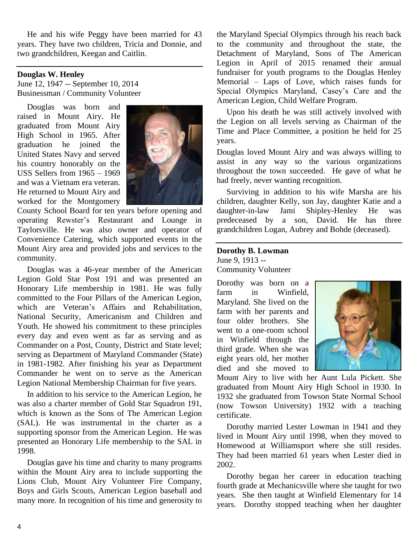He and his wife Peggy have been married for 43 years. They have two children, Tricia and Donnie, and two grandchildren, Keegan and Caitlin.

#### **Douglas W. Henley**

June 12, 1947 -- September 10, 2014 Businessman / Community Volunteer

Douglas was born and raised in Mount Airy. He graduated from Mount Airy High School in 1965. After graduation he joined the United States Navy and served his country honorably on the USS Sellers from 1965 – 1969 and was a Vietnam era veteran. He returned to Mount Airy and worked for the Montgomery



County School Board for ten years before opening and operating Rewster's Restaurant and Lounge in Taylorsville. He was also owner and operator of Convenience Catering, which supported events in the Mount Airy area and provided jobs and services to the community.

Douglas was a 46-year member of the American Legion Gold Star Post 191 and was presented an Honorary Life membership in 1981. He was fully committed to the Four Pillars of the American Legion, which are Veteran's Affairs and Rehabilitation, National Security, Americanism and Children and Youth. He showed his commitment to these principles every day and even went as far as serving and as Commander on a Post, County, District and State level; serving as Department of Maryland Commander (State) in 1981-1982. After finishing his year as Department Commander he went on to serve as the American Legion National Membership Chairman for five years.

In addition to his service to the American Legion, he was also a charter member of Gold Star Squadron 191, which is known as the Sons of The American Legion (SAL). He was instrumental in the charter as a supporting sponsor from the American Legion. He was presented an Honorary Life membership to the SAL in 1998.

Douglas gave his time and charity to many programs within the Mount Airy area to include supporting the Lions Club, Mount Airy Volunteer Fire Company, Boys and Girls Scouts, American Legion baseball and many more. In recognition of his time and generosity to the Maryland Special Olympics through his reach back to the community and throughout the state, the Detachment of Maryland, Sons of The American Legion in April of 2015 renamed their annual fundraiser for youth programs to the Douglas Henley Memorial – Laps of Love, which raises funds for Special Olympics Maryland, Casey's Care and the American Legion, Child Welfare Program.

Upon his death he was still actively involved with the Legion on all levels serving as Chairman of the Time and Place Committee, a position he held for 25 years.

Douglas loved Mount Airy and was always willing to assist in any way so the various organizations throughout the town succeeded. He gave of what he had freely, never wanting recognition.

Surviving in addition to his wife Marsha are his children, daughter Kelly, son Jay, daughter Katie and a daughter-in-law Jami Shipley-Henley He was predeceased by a son, David. He has three grandchildren Logan, Aubrey and Bohde (deceased).

### **Dorothy B. Lowman**

June 9, 1913 -- Community Volunteer

Dorothy was born on a farm in Winfield, Maryland. She lived on the farm with her parents and four older brothers. She went to a one-room school in Winfield through the third grade. When she was eight years old, her mother died and she moved to



Mount Airy to live with her Aunt Lula Pickett. She graduated from Mount Airy High School in 1930. In 1932 she graduated from Towson State Normal School (now Towson University) 1932 with a teaching certificate.

Dorothy married Lester Lowman in 1941 and they lived in Mount Airy until 1998, when they moved to Homewood at Williamsport where she still resides. They had been married 61 years when Lester died in 2002.

Dorothy began her career in education teaching fourth grade at Mechanicsville where she taught for two years. She then taught at Winfield Elementary for 14 years. Dorothy stopped teaching when her daughter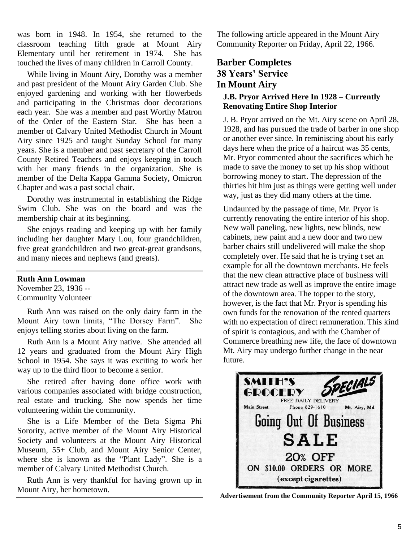was born in 1948. In 1954, she returned to the classroom teaching fifth grade at Mount Airy Elementary until her retirement in 1974. She has touched the lives of many children in Carroll County.

While living in Mount Airy, Dorothy was a member and past president of the Mount Airy Garden Club. She enjoyed gardening and working with her flowerbeds and participating in the Christmas door decorations each year. She was a member and past Worthy Matron of the Order of the Eastern Star. She has been a member of Calvary United Methodist Church in Mount Airy since 1925 and taught Sunday School for many years. She is a member and past secretary of the Carroll County Retired Teachers and enjoys keeping in touch with her many friends in the organization. She is member of the Delta Kappa Gamma Society, Omicron Chapter and was a past social chair.

Dorothy was instrumental in establishing the Ridge Swim Club. She was on the board and was the membership chair at its beginning.

She enjoys reading and keeping up with her family including her daughter Mary Lou, four grandchildren, five great grandchildren and two great-great grandsons, and many nieces and nephews (and greats).

# **Ruth Ann Lowman**

November 23, 1936 -- Community Volunteer

Ruth Ann was raised on the only dairy farm in the Mount Airy town limits, "The Dorsey Farm". She enjoys telling stories about living on the farm.

Ruth Ann is a Mount Airy native. She attended all 12 years and graduated from the Mount Airy High School in 1954. She says it was exciting to work her way up to the third floor to become a senior.

She retired after having done office work with various companies associated with bridge construction, real estate and trucking. She now spends her time volunteering within the community.

She is a Life Member of the Beta Sigma Phi Sorority, active member of the Mount Airy Historical Society and volunteers at the Mount Airy Historical Museum, 55+ Club, and Mount Airy Senior Center, where she is known as the "Plant Lady". She is a member of Calvary United Methodist Church.

Ruth Ann is very thankful for having grown up in Mount Airy, her hometown.

The following article appeared in the Mount Airy Community Reporter on Friday, April 22, 1966.

# **Barber Completes 38 Years' Service In Mount Airy**

# **J.B. Pryor Arrived Here In 1928 – Currently Renovating Entire Shop Interior**

J. B. Pryor arrived on the Mt. Airy scene on April 28, 1928, and has pursued the trade of barber in one shop or another ever since. In reminiscing about his early days here when the price of a haircut was 35 cents, Mr. Pryor commented about the sacrifices which he made to save the money to set up his shop without borrowing money to start. The depression of the thirties hit him just as things were getting well under way, just as they did many others at the time.

Undaunted by the passage of time, Mr. Pryor is currently renovating the entire interior of his shop. New wall paneling, new lights, new blinds, new cabinets, new paint and a new door and two new barber chairs still undelivered will make the shop completely over. He said that he is trying t set an example for all the downtown merchants. He feels that the new clean attractive place of business will attract new trade as well as improve the entire image of the downtown area. The topper to the story, however, is the fact that Mr. Pryor is spending his own funds for the renovation of the rented quarters with no expectation of direct remuneration. This kind of spirit is contagious, and with the Chamber of Commerce breathing new life, the face of downtown Mt. Airy may undergo further change in the near future.



**Advertisement from the Community Reporter April 15, 1966**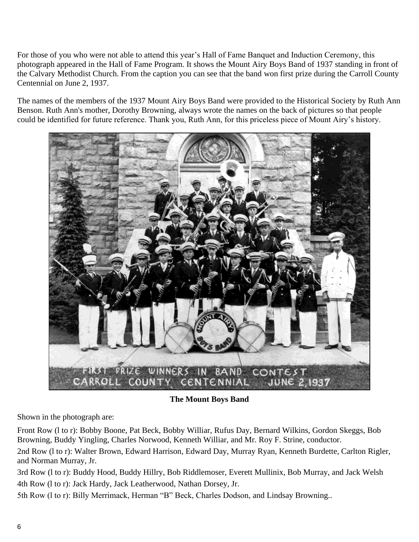For those of you who were not able to attend this year's Hall of Fame Banquet and Induction Ceremony, this photograph appeared in the Hall of Fame Program. It shows the Mount Airy Boys Band of 1937 standing in front of the Calvary Methodist Church. From the caption you can see that the band won first prize during the Carroll County Centennial on June 2, 1937.

The names of the members of the 1937 Mount Airy Boys Band were provided to the Historical Society by Ruth Ann Benson. Ruth Ann's mother, Dorothy Browning, always wrote the names on the back of pictures so that people could be identified for future reference. Thank you, Ruth Ann, for this priceless piece of Mount Airy's history.



**The Mount Boys Band**

Shown in the photograph are:

Front Row (l to r): Bobby Boone, Pat Beck, Bobby Williar, Rufus Day, Bernard Wilkins, Gordon Skeggs, Bob Browning, Buddy Yingling, Charles Norwood, Kenneth Williar, and Mr. Roy F. Strine, conductor.

2nd Row (l to r): Walter Brown, Edward Harrison, Edward Day, Murray Ryan, Kenneth Burdette, Carlton Rigler, and Norman Murray, Jr.

3rd Row (l to r): Buddy Hood, Buddy Hillry, Bob Riddlemoser, Everett Mullinix, Bob Murray, and Jack Welsh 4th Row (l to r): Jack Hardy, Jack Leatherwood, Nathan Dorsey, Jr.

5th Row (l to r): Billy Merrimack, Herman "B" Beck, Charles Dodson, and Lindsay Browning..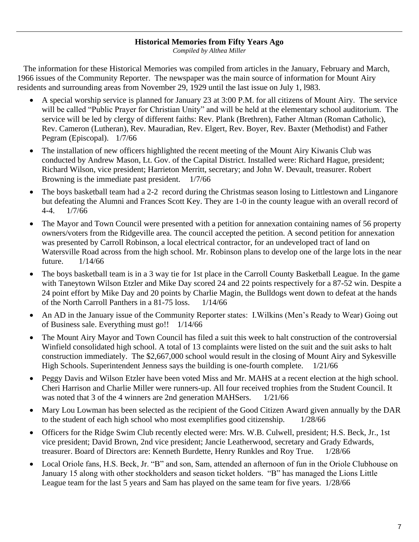# **Historical Memories from Fifty Years Ago**

*Compiled by Althea Miller*

 The information for these Historical Memories was compiled from articles in the January, February and March, 1966 issues of the Community Reporter. The newspaper was the main source of information for Mount Airy residents and surrounding areas from November 29, 1929 until the last issue on July 1, l983.

- A special worship service is planned for January 23 at 3:00 P.M. for all citizens of Mount Airy. The service will be called "Public Prayer for Christian Unity" and will be held at the elementary school auditorium. The service will be led by clergy of different faiths: Rev. Plank (Brethren), Father Altman (Roman Catholic), Rev. Cameron (Lutheran), Rev. Mauradian, Rev. Elgert, Rev. Boyer, Rev. Baxter (Methodist) and Father Pegram (Episcopal). 1/7/66
- The installation of new officers highlighted the recent meeting of the Mount Airy Kiwanis Club was conducted by Andrew Mason, Lt. Gov. of the Capital District. Installed were: Richard Hague, president; Richard Wilson, vice president; Harrieton Merritt, secretary; and John W. Devault, treasurer. Robert Browning is the immediate past president. 1/7/66
- The boys basketball team had a 2-2 record during the Christmas season losing to Littlestown and Linganore but defeating the Alumni and Frances Scott Key. They are 1-0 in the county league with an overall record of 4-4. 1/7/66
- The Mayor and Town Council were presented with a petition for annexation containing names of 56 property owners/voters from the Ridgeville area. The council accepted the petition. A second petition for annexation was presented by Carroll Robinson, a local electrical contractor, for an undeveloped tract of land on Watersville Road across from the high school. Mr. Robinson plans to develop one of the large lots in the near future. 1/14/66
- The boys basketball team is in a 3 way tie for 1st place in the Carroll County Basketball League. In the game with Taneytown Wilson Etzler and Mike Day scored 24 and 22 points respectively for a 87-52 win. Despite a 24 point effort by Mike Day and 20 points by Charlie Magin, the Bulldogs went down to defeat at the hands of the North Carroll Panthers in a 81-75 loss. 1/14/66
- An AD in the January issue of the Community Reporter states: I. Wilkins (Men's Ready to Wear) Going out of Business sale. Everything must go!! 1/14/66
- The Mount Airy Mayor and Town Council has filed a suit this week to halt construction of the controversial Winfield consolidated high school. A total of 13 complaints were listed on the suit and the suit asks to halt construction immediately. The \$2,667,000 school would result in the closing of Mount Airy and Sykesville High Schools. Superintendent Jenness says the building is one-fourth complete. 1/21/66
- Peggy Davis and Wilson Etzler have been voted Miss and Mr. MAHS at a recent election at the high school. Cheri Harrison and Charlie Miller were runners-up. All four received trophies from the Student Council. It was noted that 3 of the 4 winners are 2nd generation MAHSers. 1/21/66
- Mary Lou Lowman has been selected as the recipient of the Good Citizen Award given annually by the DAR to the student of each high school who most exemplifies good citizenship.  $1/28/66$
- Officers for the Ridge Swim Club recently elected were: Mrs. W.B. Culwell, president; H.S. Beck, Jr., 1st vice president; David Brown, 2nd vice president; Jancie Leatherwood, secretary and Grady Edwards, treasurer. Board of Directors are: Kenneth Burdette, Henry Runkles and Roy True. 1/28/66
- Local Oriole fans, H.S. Beck, Jr. "B" and son, Sam, attended an afternoon of fun in the Oriole Clubhouse on January 15 along with other stockholders and season ticket holders. "B" has managed the Lions Little League team for the last 5 years and Sam has played on the same team for five years. 1/28/66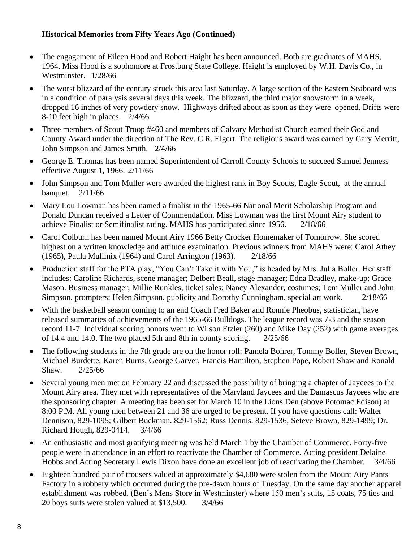# **Historical Memories from Fifty Years Ago (Continued)**

- The engagement of Eileen Hood and Robert Haight has been announced. Both are graduates of MAHS, 1964. Miss Hood is a sophomore at Frostburg State College. Haight is employed by W.H. Davis Co., in Westminster. 1/28/66
- The worst blizzard of the century struck this area last Saturday. A large section of the Eastern Seaboard was in a condition of paralysis several days this week. The blizzard, the third major snowstorm in a week, dropped 16 inches of very powdery snow. Highways drifted about as soon as they were opened. Drifts were 8-10 feet high in places. 2/4/66
- Three members of Scout Troop #460 and members of Calvary Methodist Church earned their God and County Award under the direction of The Rev. C.R. Elgert. The religious award was earned by Gary Merritt, John Simpson and James Smith. 2/4/66
- George E. Thomas has been named Superintendent of Carroll County Schools to succeed Samuel Jenness effective August 1, 1966. 2/11/66
- John Simpson and Tom Muller were awarded the highest rank in Boy Scouts, Eagle Scout, at the annual banquet. 2/11/66
- Mary Lou Lowman has been named a finalist in the 1965-66 National Merit Scholarship Program and Donald Duncan received a Letter of Commendation. Miss Lowman was the first Mount Airy student to achieve Finalist or Semifinalist rating. MAHS has participated since 1956. 2/18/66
- Carol Colburn has been named Mount Airy 1966 Betty Crocker Homemaker of Tomorrow. She scored highest on a written knowledge and attitude examination. Previous winners from MAHS were: Carol Athey (1965), Paula Mullinix (1964) and Carol Arrington (1963). 2/18/66
- Production staff for the PTA play, "You Can't Take it with You," is headed by Mrs. Julia Boller. Her staff includes: Caroline Richards, scene manager; Delbert Beall, stage manager; Edna Bradley, make-up; Grace Mason. Business manager; Millie Runkles, ticket sales; Nancy Alexander, costumes; Tom Muller and John Simpson, prompters; Helen Simpson, publicity and Dorothy Cunningham, special art work. 2/18/66
- With the basketball season coming to an end Coach Fred Baker and Ronnie Pheobus, statistician, have released summaries of achievements of the 1965-66 Bulldogs. The league record was 7-3 and the season record 11-7. Individual scoring honors went to Wilson Etzler (260) and Mike Day (252) with game averages of 14.4 and 14.0. The two placed 5th and 8th in county scoring. 2/25/66
- The following students in the 7th grade are on the honor roll: Pamela Bohrer, Tommy Boller, Steven Brown, Michael Burdette, Karen Burns, George Garver, Francis Hamilton, Stephen Pope, Robert Shaw and Ronald Shaw. 2/25/66
- Several young men met on February 22 and discussed the possibility of bringing a chapter of Jaycees to the Mount Airy area. They met with representatives of the Maryland Jaycees and the Damascus Jaycees who are the sponsoring chapter. A meeting has been set for March 10 in the Lions Den (above Potomac Edison) at 8:00 P.M. All young men between 21 and 36 are urged to be present. If you have questions call: Walter Dennison, 829-1095; Gilbert Buckman. 829-1562; Russ Dennis. 829-1536; Seteve Brown, 829-1499; Dr. Richard Hough, 829-0414. 3/4/66
- An enthusiastic and most gratifying meeting was held March 1 by the Chamber of Commerce. Forty-five people were in attendance in an effort to reactivate the Chamber of Commerce. Acting president Delaine Hobbs and Acting Secretary Lewis Dixon have done an excellent job of reactivating the Chamber. 3/4/66
- Eighteen hundred pair of trousers valued at approximately \$4,680 were stolen from the Mount Airy Pants Factory in a robbery which occurred during the pre-dawn hours of Tuesday. On the same day another apparel establishment was robbed. (Ben's Mens Store in Westminster) where 150 men's suits, 15 coats, 75 ties and 20 boys suits were stolen valued at \$13,500. 3/4/66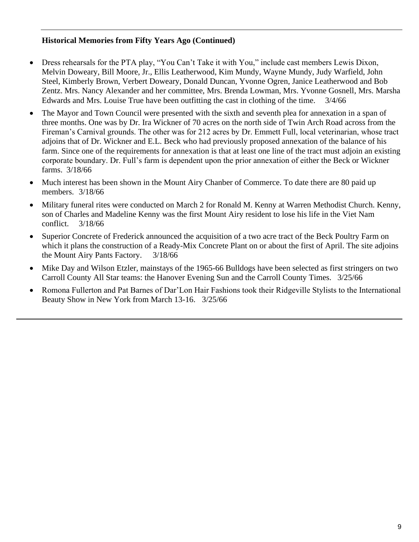# **Historical Memories from Fifty Years Ago (Continued)**

- Dress rehearsals for the PTA play, "You Can't Take it with You," include cast members Lewis Dixon, Melvin Doweary, Bill Moore, Jr., Ellis Leatherwood, Kim Mundy, Wayne Mundy, Judy Warfield, John Steel, Kimberly Brown, Verbert Doweary, Donald Duncan, Yvonne Ogren, Janice Leatherwood and Bob Zentz. Mrs. Nancy Alexander and her committee, Mrs. Brenda Lowman, Mrs. Yvonne Gosnell, Mrs. Marsha Edwards and Mrs. Louise True have been outfitting the cast in clothing of the time. 3/4/66
- The Mayor and Town Council were presented with the sixth and seventh plea for annexation in a span of three months. One was by Dr. Ira Wickner of 70 acres on the north side of Twin Arch Road across from the Fireman's Carnival grounds. The other was for 212 acres by Dr. Emmett Full, local veterinarian, whose tract adjoins that of Dr. Wickner and E.L. Beck who had previously proposed annexation of the balance of his farm. Since one of the requirements for annexation is that at least one line of the tract must adjoin an existing corporate boundary. Dr. Full's farm is dependent upon the prior annexation of either the Beck or Wickner farms. 3/18/66
- Much interest has been shown in the Mount Airy Chanber of Commerce. To date there are 80 paid up members. 3/18/66
- Military funeral rites were conducted on March 2 for Ronald M. Kenny at Warren Methodist Church. Kenny, son of Charles and Madeline Kenny was the first Mount Airy resident to lose his life in the Viet Nam conflict. 3/18/66
- Superior Concrete of Frederick announced the acquisition of a two acre tract of the Beck Poultry Farm on which it plans the construction of a Ready-Mix Concrete Plant on or about the first of April. The site adjoins the Mount Airy Pants Factory. 3/18/66
- Mike Day and Wilson Etzler, mainstays of the 1965-66 Bulldogs have been selected as first stringers on two Carroll County All Star teams: the Hanover Evening Sun and the Carroll County Times. 3/25/66
- Romona Fullerton and Pat Barnes of Dar'Lon Hair Fashions took their Ridgeville Stylists to the International Beauty Show in New York from March 13-16. 3/25/66